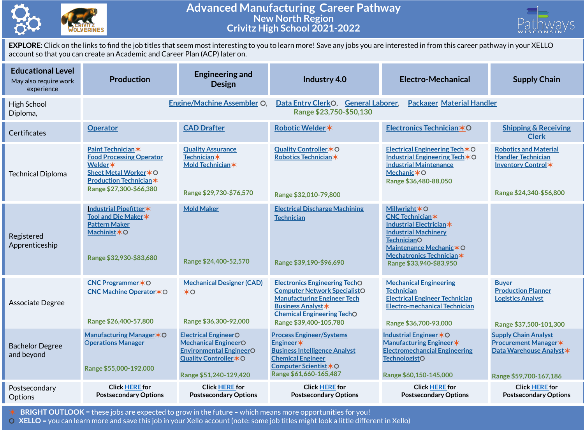

## **Advanced Manufacturing Career Pathway New North Region Crivitz High School 2021-2022**



**EXPLORE**: Click on the links to find the job titles that seem most interesting to you to learn more! Save any jobs you are interested in from this career pathway in your XELLO account so that you can create an Academic and Career Plan (ACP) later on.

| <b>Educational Level</b><br>May also require work<br>experience | <b>Production</b>                                                                                                                                      | <b>Engineering and</b><br><b>Design</b>                                                                                                          | Industry 4.0                                                                                                                                                                                                  | Electro-Mechanical                                                                                                                                                                                                | <b>Supply Chain</b>                                                                                               |  |
|-----------------------------------------------------------------|--------------------------------------------------------------------------------------------------------------------------------------------------------|--------------------------------------------------------------------------------------------------------------------------------------------------|---------------------------------------------------------------------------------------------------------------------------------------------------------------------------------------------------------------|-------------------------------------------------------------------------------------------------------------------------------------------------------------------------------------------------------------------|-------------------------------------------------------------------------------------------------------------------|--|
| High School<br>Diploma,                                         |                                                                                                                                                        | Engine/Machine Assembler O                                                                                                                       | Data Entry ClerkO, General Laborer,<br><b>Packager Material Handler</b><br>Range \$23,750-\$50,130                                                                                                            |                                                                                                                                                                                                                   |                                                                                                                   |  |
| Certificates                                                    | <b>Operator</b>                                                                                                                                        | <b>CAD Drafter</b>                                                                                                                               | Robotic Welder *                                                                                                                                                                                              | Electronics Technician *O                                                                                                                                                                                         | <b>Shipping &amp; Receiving</b><br><b>Clerk</b>                                                                   |  |
| <b>Technical Diploma</b>                                        | Paint Technician*<br><b>Food Processing Operator</b><br>Welder *<br>Sheet Metal Worker * O<br><b>Production Technician*</b><br>Range \$27,300-\$66,380 | <b>Quality Assurance</b><br><b>Technician</b> *<br>Mold Technician*<br>Range \$29,730-\$76,570                                                   | Quality Controller * O<br>Robotics Technician*<br>Range \$32,010-79,800                                                                                                                                       | Electrical Engineering Tech $*$ O<br>Industrial Engineering Tech $*$ O<br><b>Industrial Maintenance</b><br>Mechanic $*$ O<br>Range \$36,480-88,050                                                                | <b>Robotics and Material</b><br><b>Handler Technician</b><br>Inventory Control*<br>Range \$24,340-\$56,800        |  |
| Registered<br>Apprenticeship                                    | Industrial Pipefitter*<br>Tool and Die Maker *<br><b>Pattern Maker</b><br>Machinist*O<br>Range \$32,930-\$83,680                                       | <b>Mold Maker</b><br>Range \$24,400-52,570                                                                                                       | <b>Electrical Discharge Machining</b><br><b>Technician</b><br>Range \$39,190-\$96,690                                                                                                                         | <b>Millwright *O</b><br><b>CNC Technician*</b><br>Industrial Electrician *<br><b>Industrial Machinery</b><br><b>TechnicianO</b><br>Maintenance Mechanic*O<br>Mechatronics Technician *<br>Range \$33,940-\$83,950 |                                                                                                                   |  |
| Associate Degree                                                | CNC Programmer * O<br>CNC Machine Operator * O<br>Range \$26,400-57,800                                                                                | <b>Mechanical Designer (CAD)</b><br>$*$ <sup><math>\circ</math></sup><br>Range \$36,300-92,000                                                   | <b>Electronics Engineering TechO</b><br><b>Computer Network SpecialistO</b><br><b>Manufacturing Engineer Tech</b><br><b>Business Analyst *</b><br><b>Chemical Engineering TechO</b><br>Range \$39,400-105,780 | <b>Mechanical Engineering</b><br><b>Technician</b><br><b>Electrical Engineer Technician</b><br><b>Electro-mechanical Technician</b><br>Range \$36,700-93,000                                                      | <b>Buyer</b><br><b>Production Planner</b><br><b>Logistics Analyst</b><br>Range \$37,500-101,300                   |  |
| <b>Bachelor Degree</b><br>and beyond                            | Manufacturing Manager * O<br><b>Operations Manager</b><br>Range \$55,000-192,000                                                                       | <b>Electrical EngineerO</b><br><b>Mechanical EngineerO</b><br><b>Environmental EngineerO</b><br>Quality Controller * O<br>Range \$51,240-129,420 | <b>Process Engineer/Systems</b><br>Engineer*<br><b>Business Intelligence Analyst</b><br><b>Chemical Engineer</b><br>Computer Scientist *O<br>Range \$61,660-165,487                                           | Industrial Engineer * O<br>Manufacturing Engineer *<br><b>Electromechancial Engineering</b><br><b>TechnologistO</b><br>Range \$60,150-145,000                                                                     | <b>Supply Chain Analyst</b><br><b>Procurement Manager *</b><br>Data Warehouse Analyst *<br>Range \$59,700-167,186 |  |
| Postsecondary<br>Options                                        | <b>Click HERE for</b><br><b>Postsecondary Options</b>                                                                                                  | <b>Click HERE for</b><br><b>Postsecondary Options</b>                                                                                            | <b>Click HERE for</b><br><b>Postsecondary Options</b>                                                                                                                                                         | <b>Click HERE for</b><br><b>Postsecondary Options</b>                                                                                                                                                             | <b>Click HERE for</b><br><b>Postsecondary Options</b>                                                             |  |

✶ **BRIGHT OUTLOOK** = these jobs are expected to grow in the future – which means more opportunities for you!

⚪ **XELLO** = you can learn more and save this job in your Xello account (note: some job titles might look a little different in Xello)